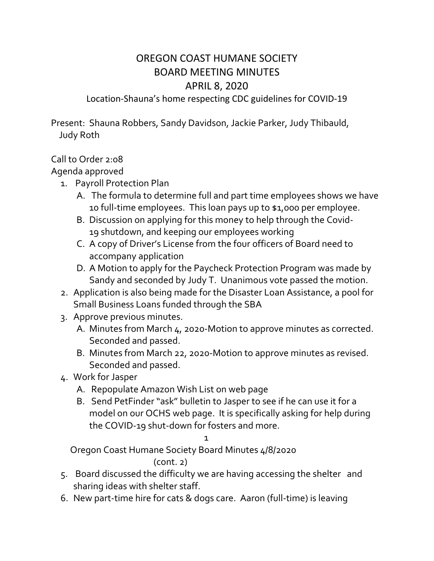## OREGON COAST HUMANE SOCIETY BOARD MEETING MINUTES APRIL 8, 2020

Location-Shauna's home respecting CDC guidelines for COVID-19

Present: Shauna Robbers, Sandy Davidson, Jackie Parker, Judy Thibauld, Judy Roth

## Call to Order 2:08

Agenda approved

- 1. Payroll Protection Plan
	- A. The formula to determine full and part time employees shows we have 10 full-time employees. This loan pays up to \$1,000 per employee.
	- B. Discussion on applying for this money to help through the Covid-19 shutdown, and keeping our employees working
	- C. A copy of Driver's License from the four officers of Board need to accompany application
	- D. A Motion to apply for the Paycheck Protection Program was made by Sandy and seconded by Judy T. Unanimous vote passed the motion.
- 2. Application is also being made for the Disaster Loan Assistance, a pool for Small Business Loans funded through the SBA
- 3. Approve previous minutes.
	- A. Minutes from March 4, 2020-Motion to approve minutes as corrected. Seconded and passed.
	- B. Minutes from March 22, 2020-Motion to approve minutes as revised. Seconded and passed.
- 4. Work for Jasper
	- A. Repopulate Amazon Wish List on web page
	- B. Send PetFinder "ask" bulletin to Jasper to see if he can use it for a model on our OCHS web page. It is specifically asking for help during the COVID-19 shut-down for fosters and more.

1

Oregon Coast Humane Society Board Minutes 4/8/2020 (cont. 2)

- 5. Board discussed the difficulty we are having accessing the shelter and sharing ideas with shelter staff.
- 6. New part-time hire for cats & dogs care. Aaron (full-time) is leaving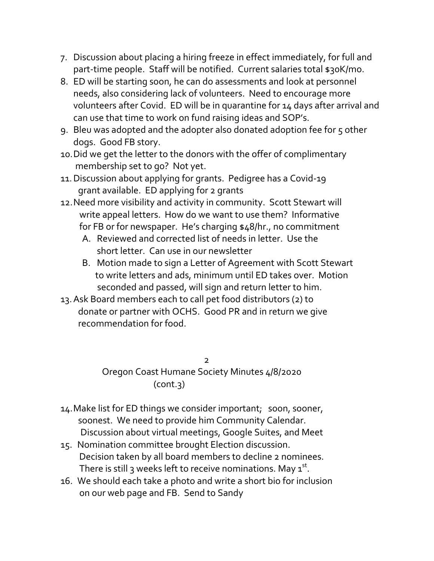- 7. Discussion about placing a hiring freeze in effect immediately, for full and part-time people. Staff will be notified. Current salaries total \$30K/mo.
- 8. ED will be starting soon, he can do assessments and look at personnel needs, also considering lack of volunteers. Need to encourage more volunteers after Covid. ED will be in quarantine for 14 days after arrival and can use that time to work on fund raising ideas and SOP's.
- 9. Bleu was adopted and the adopter also donated adoption fee for 5 other dogs. Good FB story.
- 10.Did we get the letter to the donors with the offer of complimentary membership set to go? Not yet.
- 11.Discussion about applying for grants. Pedigree has a Covid-19 grant available. ED applying for 2 grants
- 12.Need more visibility and activity in community. Scott Stewart will write appeal letters. How do we want to use them? Informative for FB or for newspaper. He's charging \$48/hr., no commitment
	- A. Reviewed and corrected list of needs in letter. Use the short letter. Can use in our newsletter
	- B. Motion made to sign a Letter of Agreement with Scott Stewart to write letters and ads, minimum until ED takes over. Motion seconded and passed, will sign and return letter to him.
- 13.Ask Board members each to call pet food distributors (2) to donate or partner with OCHS. Good PR and in return we give recommendation for food.

<u>2</u> Oregon Coast Humane Society Minutes 4/8/2020  $(cont.3)$ 

- 14.Make list for ED things we consider important; soon, sooner, soonest. We need to provide him Community Calendar. Discussion about virtual meetings, Google Suites, and Meet
- 15. Nomination committee brought Election discussion. Decision taken by all board members to decline 2 nominees. There is still 3 weeks left to receive nominations. May  $1^{st}$ .
- 16. We should each take a photo and write a short bio for inclusion on our web page and FB. Send to Sandy